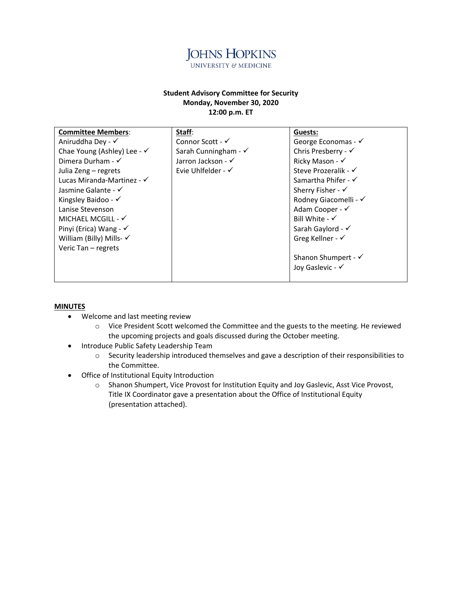

#### **Student Advisory Committee for Security Monday, November 30, 2020 12:00 p.m. ET**

| <b>Committee Members:</b>              | Staff:                          | Guests:                        |
|----------------------------------------|---------------------------------|--------------------------------|
| Aniruddha Dey - √                      | Connor Scott - $\checkmark$     | George Economas - √            |
| Chae Young (Ashley) Lee - $\checkmark$ | Sarah Cunningham - $\checkmark$ | Chris Presberry - $\checkmark$ |
| Dimera Durham - $\checkmark$           | Jarron Jackson - $\checkmark$   | Ricky Mason - √                |
| Julia Zeng – regrets                   | Evie Uhlfelder - √              | Steve Prozeralik - √           |
| Lucas Miranda-Martinez - $\checkmark$  |                                 | Samartha Phifer - √            |
| Jasmine Galante - √                    |                                 | Sherry Fisher - $\checkmark$   |
| Kingsley Baidoo - $\checkmark$         |                                 | Rodney Giacomelli - √          |
| Lanise Stevenson                       |                                 | Adam Cooper - √                |
| MICHAEL MCGILL - $\checkmark$          |                                 | Bill White - $\checkmark$      |
| Pinyi (Erica) Wang - $\checkmark$      |                                 | Sarah Gaylord - √              |
| William (Billy) Mills- √               |                                 | Greg Kellner - $\checkmark$    |
| Veric Tan - regrets                    |                                 |                                |
|                                        |                                 | Shanon Shumpert - √            |
|                                        |                                 | Joy Gaslevic - √               |
|                                        |                                 |                                |

#### **MINUTES**

- Welcome and last meeting review
	- o Vice President Scott welcomed the Committee and the guests to the meeting. He reviewed the upcoming projects and goals discussed during the October meeting.
- Introduce Public Safety Leadership Team
	- o Security leadership introduced themselves and gave a description of their responsibilities to the Committee.
- Office of Institutional Equity Introduction
	- o Shanon Shumpert, Vice Provost for Institution Equity and Joy Gaslevic, Asst Vice Provost, Title IX Coordinator gave a presentation about the Office of Institutional Equity (presentation attached).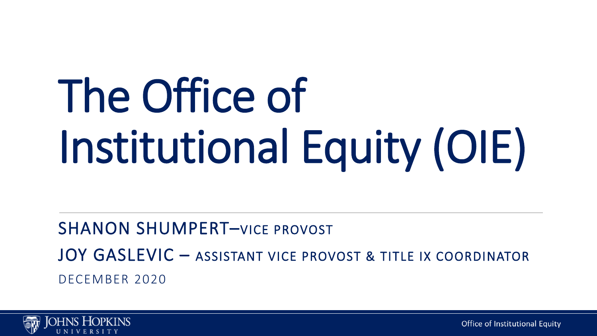# The Office of Institutional Equity (OIE)

#### SHANON SHUMPERT–VICE PROVOST JOY GASLEVIC – ASSISTANT VICE PROVOST & TITLE IX COORDINATOR DECEMBER 2020



Office of Institutional Equity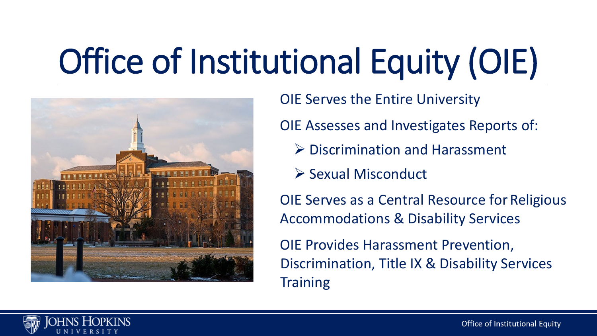# Office of Institutional Equity (OIE)



OIE Serves the Entire University

OIE Assesses and Investigates Reports of:

- **▶ Discrimination and Harassment**
- $\triangleright$  Sexual Misconduct

OIE Serves as a Central Resource for Religious Accommodations & Disability Services

OIE Provides Harassment Prevention, Discrimination, Title IX & Disability Services **Training** 



Office of Institutional Equity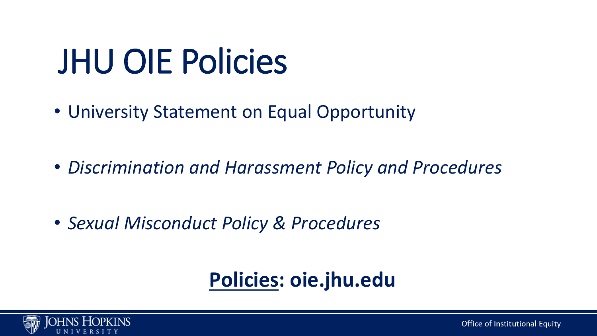### JHU OIE Policies

• University Statement on Equal Opportunity

• *Discrimination and Harassment Policy and Procedures*

• *Sexual Misconduct Policy & Procedures*

#### **Policies: oie.jhu.edu**

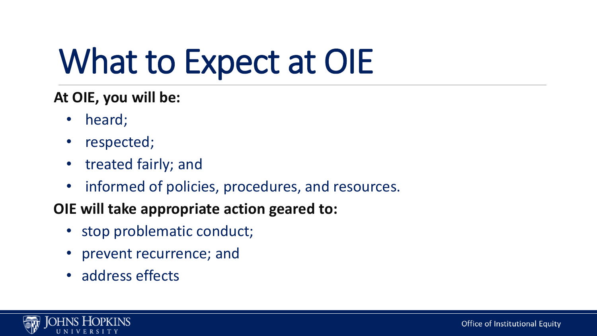### What to Expect at OIE

#### **At OIE, you will be:**

- heard;
- respected;
- treated fairly; and
- informed of policies, procedures, and resources.

#### **OIE will take appropriate action geared to:**

- stop problematic conduct;
- prevent recurrence; and
- address effects

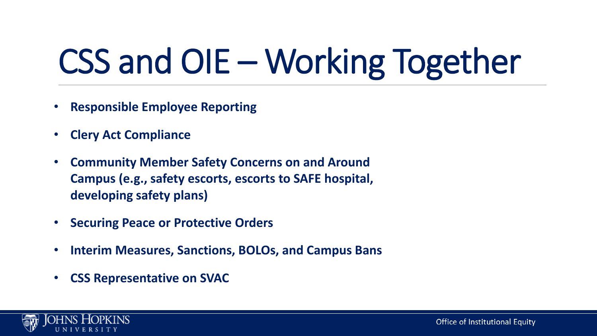## CSS and OIE – Working Together

- **Responsible Employee Reporting**
- **Clery Act Compliance**
- **Community Member Safety Concerns on and Around Campus (e.g., safety escorts, escorts to SAFE hospital, developing safety plans)**
- **Securing Peace or Protective Orders**
- **Interim Measures, Sanctions, BOLOs, and Campus Bans**
- **CSS Representative on SVAC**